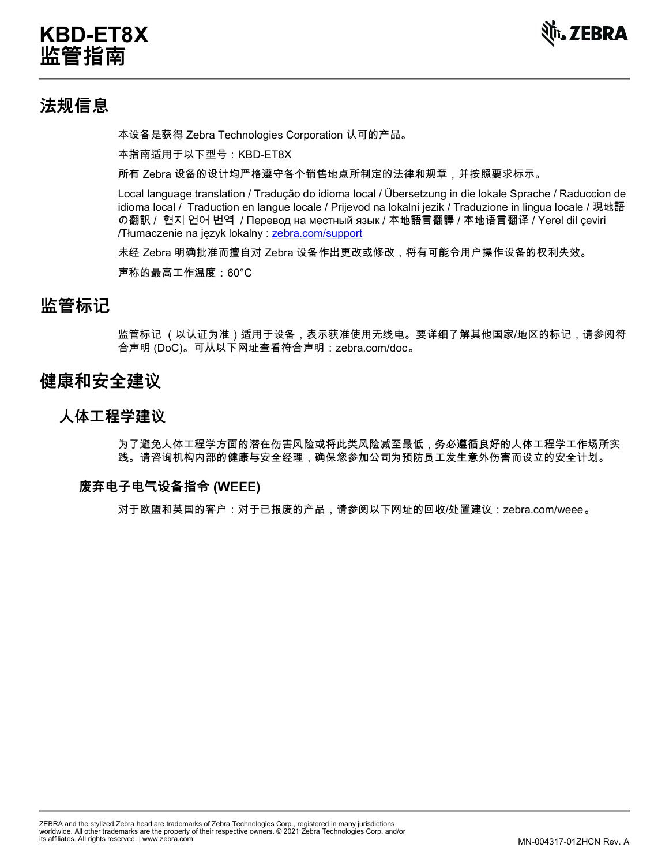# **KBD-ET8X 监管指南**



# **法规信息**

本设备是获得 Zebra Technologies Corporation 认可的产品。

本指南适用于以下型号:KBD-ET8X

所有 Zebra 设备的设计均严格遵守各个销售地点所制定的法律和规章,并按照要求标示。

Local language translation / Tradução do idioma local / Übersetzung in die lokale Sprache / Raduccion de idioma local / Traduction en langue locale / Prijevod na lokalni jezik / Traduzione in lingua locale / 現地語 の翻訳 / 현지 언어 번역 / Перевод на местный язык / 本地語言翻譯 / 本地语言翻译 / Yerel dil çeviri /Tłumaczenie na język lokalny : [zebra.com/support](http://www.zebra.com/support)

未经 Zebra 明确批准而擅自对 Zebra 设备作出更改或修改,将有可能令用户操作设备的权利失效。

声称的最高工作温度: 60°C

## **监管标记**

监管标记 (以认证为准)适用于设备,表示获准使用无线电。要详细了解其他国家/地区的标记,请参阅符 合声明 (DoC)。可从以下网址查看符合声明:zebra.com/doc 。

## **健康和安全建议**

## **人体工程学建议**

为了避免人体工程学方面的潜在伤害风险或将此类风险减至最低,务必遵循良好的人体工程学工作场所实 践。请咨询机构内部的健康与安全经理,确保您参加公司为预防员工发生意外伤害而设立的安全计划。

## **废弃电子电气设备指令 (WEEE)**

对于欧盟和英国的客户:对于已报废的产品,请参阅以下网址的回收/处置建议:zebra.com/weee 。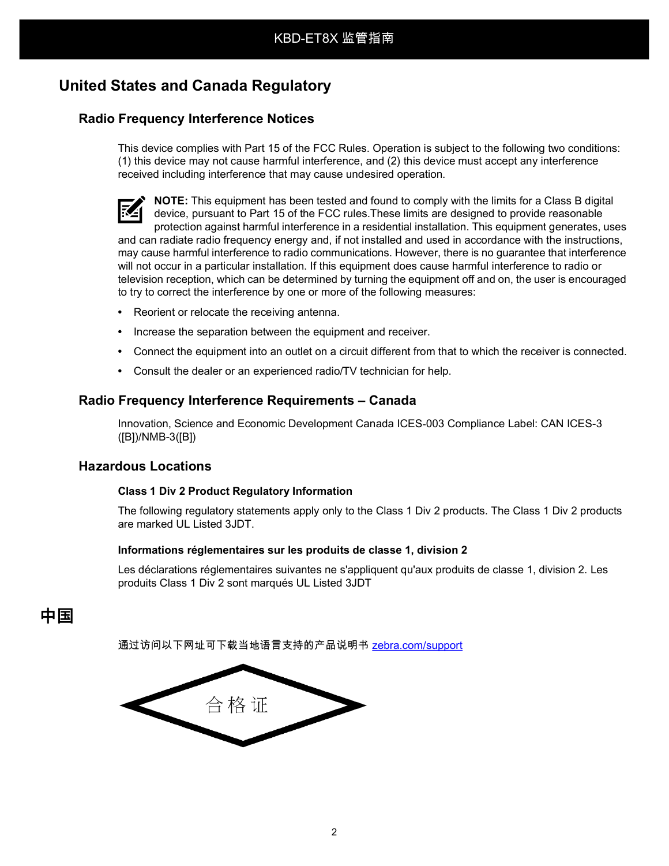## **United States and Canada Regulatory**

## **Radio Frequency Interference Notices**

This device complies with Part 15 of the FCC Rules. Operation is subject to the following two conditions: (1) this device may not cause harmful interference, and (2) this device must accept any interference received including interference that may cause undesired operation.

**NOTE:** This equipment has been tested and found to comply with the limits for a Class B digital device, pursuant to Part 15 of the FCC rules.These limits are designed to provide reasonable protection against harmful interference in a residential installation. This equipment generates, uses and can radiate radio frequency energy and, if not installed and used in accordance with the instructions, may cause harmful interference to radio communications. However, there is no guarantee that interference will not occur in a particular installation. If this equipment does cause harmful interference to radio or television reception, which can be determined by turning the equipment off and on, the user is encouraged to try to correct the interference by one or more of the following measures:

- **•** Reorient or relocate the receiving antenna.
- **•** Increase the separation between the equipment and receiver.
- **•** Connect the equipment into an outlet on a circuit different from that to which the receiver is connected.
- **•** Consult the dealer or an experienced radio/TV technician for help.

#### **Radio Frequency Interference Requirements – Canada**

Innovation, Science and Economic Development Canada ICES-003 Compliance Label: CAN ICES-3 ([B])/NMB-3([B])

#### **Hazardous Locations**

#### **Class 1 Div 2 Product Regulatory Information**

The following regulatory statements apply only to the Class 1 Div 2 products. The Class 1 Div 2 products are marked UL Listed 3JDT.

#### **Informations réglementaires sur les produits de classe 1, division 2**

Les déclarations réglementaires suivantes ne s'appliquent qu'aux produits de classe 1, division 2. Les produits Class 1 Div 2 sont marqués UL Listed 3JDT

## **中国**

通过访问以下网址可下载当地语言支持的产品说明书 <u>[zebra.com/support](http://www.zebra.com/support)</u>

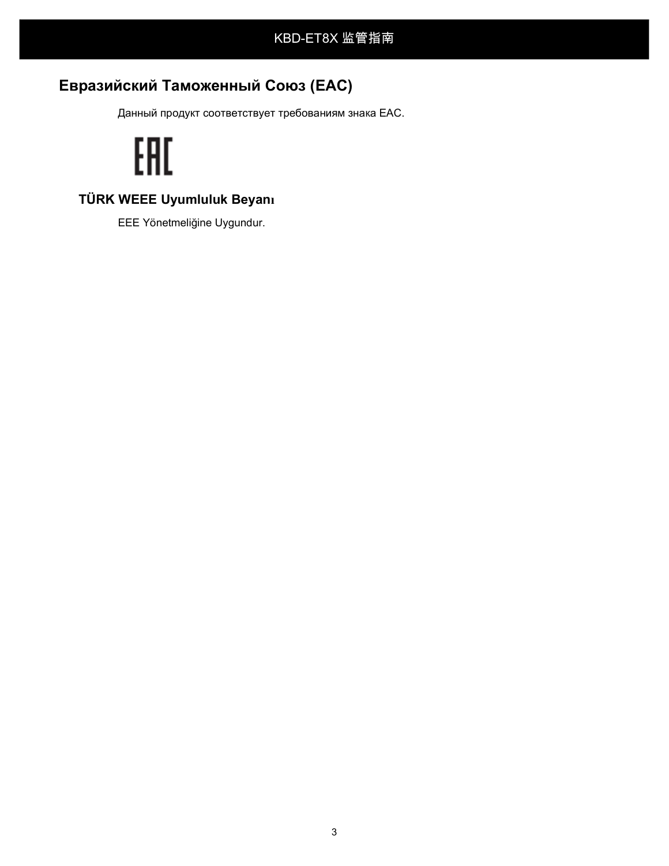# **Евразийский Таможенный Союз (EAC)**

Данный продукт соответствует требованиям знака EAC.

# EAC

## **TÜRK WEEE Uyumluluk Beyanı**

EEE Yönetmeliğine Uygundur.